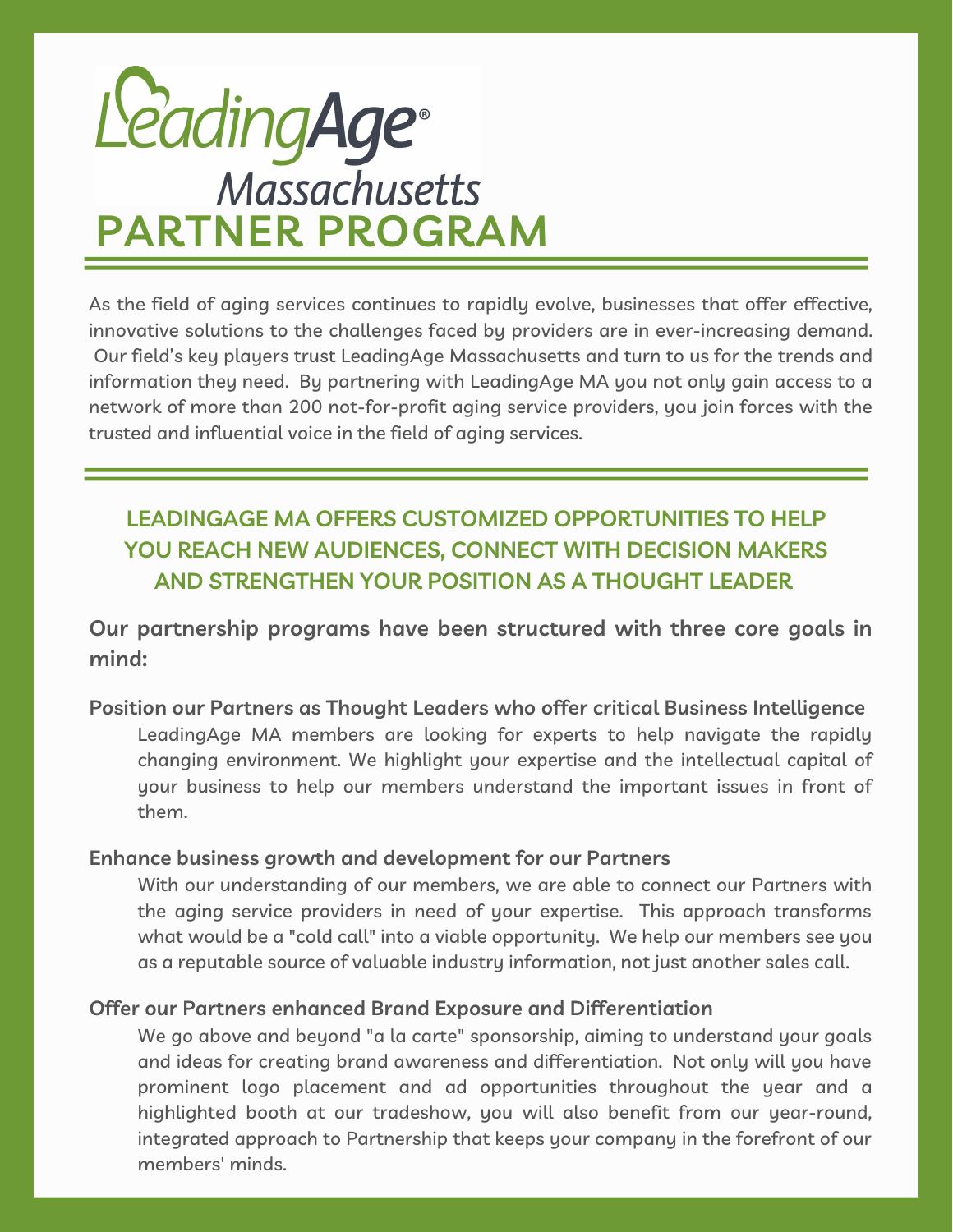# **PARTNER PROGRAM**

As the field of aging services continues to rapidly evolve, businesses that offer effective, innovative solutions to the challenges faced by providers are in ever-increasing demand. Our field's key players trust LeadingAge Massachusetts and turn to us for the trends and information they need. By partnering with LeadingAge MA you not only gain access to a network of more than 200 not-for-profit aging service providers, you join forces with the trusted and influential voice in the field of aging services.

# **LEADINGAGE MA OFFERS CUSTOMIZED OPPORTUNITIES TO HELP YOU REACH NEW AUDIENCES, CONNECT WITH DECISION MAKERS AND STRENGTHEN YOUR POSITION AS A THOUGHT LEADER**

**Our partnership programs have been structured with three core goals in mind:**

### **Position our Partners as Thought Leaders who offer critical Business Intelligence** LeadingAge MA members are looking for experts to help navigate the rapidly changing environment. We highlight your expertise and the intellectual capital of your business to help our members understand the important issues in front of them.

### **Enhance business growth and development for our Partners**

With our understanding of our members, we are able to connect our Partners with the aging service providers in need of your expertise. This approach transforms what would be a "cold call" into a viable opportunity. We help our members see you as a reputable source of valuable industry information, not just another sales call.

### **Offer our Partners enhanced Brand Exposure and Differentiation**

We go above and beyond "a la carte" sponsorship, aiming to understand your goals and ideas for creating brand awareness and differentiation. Not only will you have prominent logo placement and ad opportunities throughout the year and a highlighted booth at our tradeshow, you will also benefit from our year-round, integrated approach to Partnership that keeps your company in the forefront of our members' minds.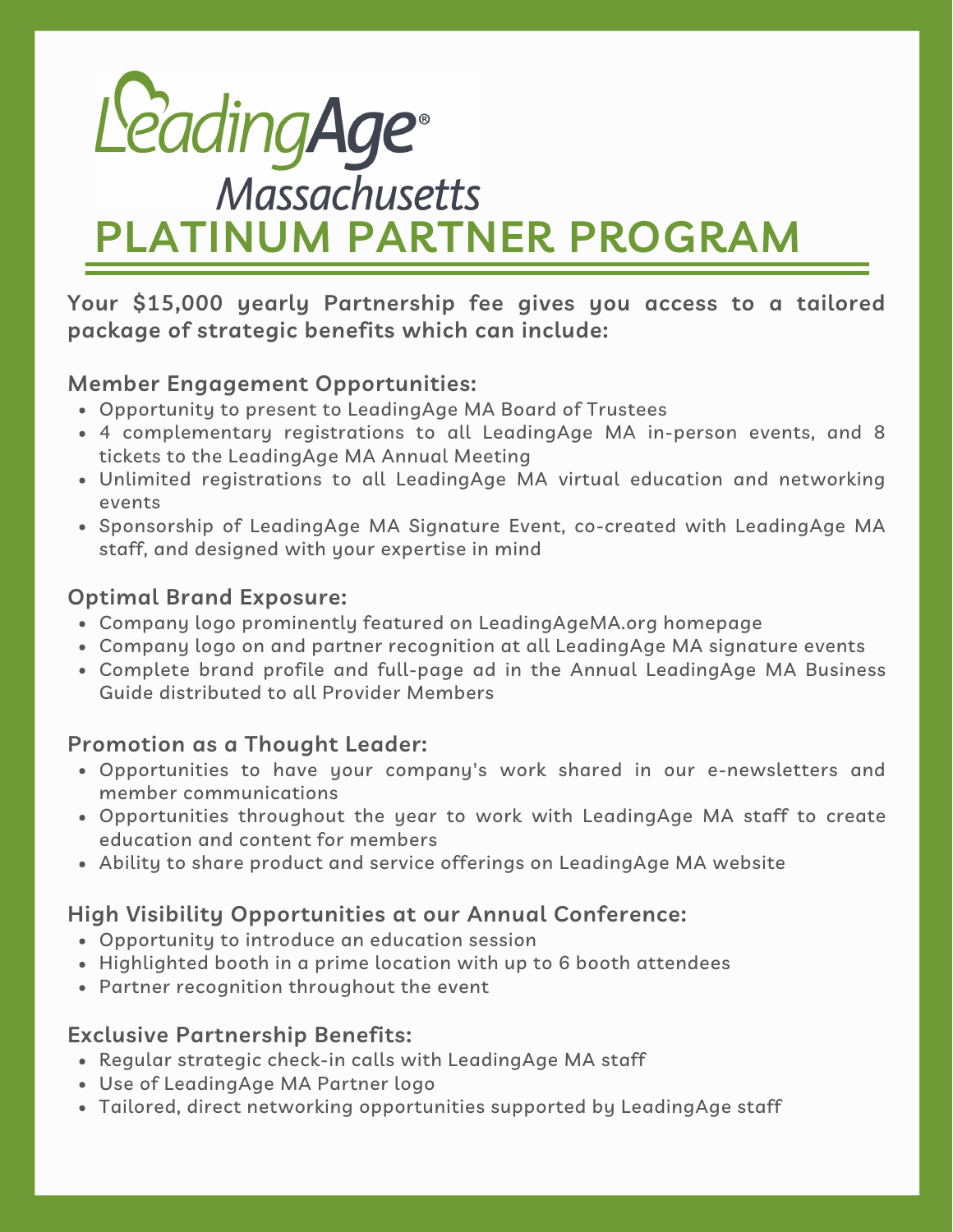# **PLATINUM PARTNER PROGRAM**

**Your \$15,000 yearly Partnership fee gives you access to a tailored package of strategic benefits which can include:**

### **Member Engagement Opportunities:**

- Opportunity to present to LeadingAge MA Board of Trustees
- 4 complementary registrations to all LeadingAge MA in-person events, and 8 tickets to the LeadingAge MA Annual Meeting
- Unlimited registrations to all LeadingAge MA virtual education and networking events
- Sponsorship of LeadingAge MA Signature Event, co-created with LeadingAge MA staff, and designed with your expertise in mind

### **Optimal Brand Exposure:**

- Company logo prominently featured on LeadingAgeMA.org homepage
- Company logo on and partner recognition at all LeadingAge MA signature events
- Complete brand profile and full-page ad in the Annual LeadingAge MA Business Guide distributed to all Provider Members

### **Promotion as a Thought Leader:**

- Opportunities to have your company's work shared in our e-newsletters and member communications
- Opportunities throughout the year to work with LeadingAge MA staff to create education and content for members
- Ability to share product and service offerings on LeadingAge MA website

## **High Visibility Opportunities at our Annual Conference:**

- Opportunity to introduce an education session
- Highlighted booth in a prime location with up to 6 booth attendees
- Partner recognition throughout the event

## **Exclusive Partnership Benefits:**

- Regular strategic check-in calls with LeadingAge MA staff
- Use of LeadingAge MA Partner logo
- Tailored, direct networking opportunities supported by LeadingAge staff